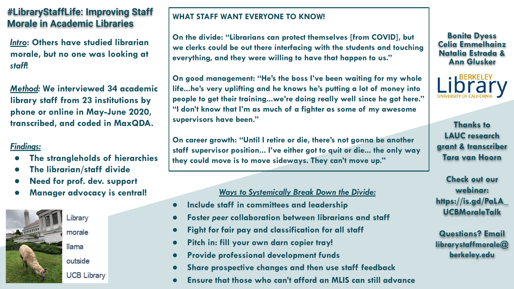# **#LibraryStaffLife: Improving Staff Morale in Academic Libraries**

*Intro***: Others have studied librarian morale, but no one was looking at**  *staff***!**

*Method:* **We interviewed 34 academic library staff from 23 institutions by phone or online in May-June 2020, transcribed, and coded in MaxQDA.**

## *Findings:*

- **● The strangleholds of hierarchies**
- **● The librarian/staff divide**
- **● Need for prof. dev. support**
- 



Library morale llama outside

## **UCB Library**

## **WHAT STAFF WANT EVERYONE TO KNOW!**

**On the divide: "Librarians can protect themselves [from COVID], but we clerks could be out there interfacing with the students and touching everything, and they were willing to have that happen to us."**

**On good management: "He's the boss I've been waiting for my whole life...he's very uplifting and he knows he's putting a lot of money into people to get their training...we're doing really well since he got here." "I don't know that I'm as much of a fighter as some of my awesome supervisors have been."**

**On career growth: "Until I retire or die, there's not gonna be another staff supervisor position... I've either got to quit or die... the only way they could move is to move sideways. They can't move up."**

## **Manager advocacy is central!** *Ways to Systemically Break Down the Divide:*

- **● Include staff in committees and leadership**
- **● Foster** *peer* **collaboration between librarians and staff**
- **● Fight for fair pay and classification for all staff**
- **● Pitch in: fill your own darn copier tray!**
- **● Provide professional development funds**
- **● Share prospective changes and then use staff feedback**
- **● Ensure that those who can't afford an MLIS can still advance**

**Bonita Dyess Celia Emmelhainz Natalia Estrada & Ann Glusker** 

**BERKELEY** 

**Thanks to LAUC research grant & transcriber Tara van Hoorn**

**Check out our webinar: https://is.gd/PaLA\_ UCBMoraleTalk**

**Questions? Email librarystaffmorale@ berkeley.edu**